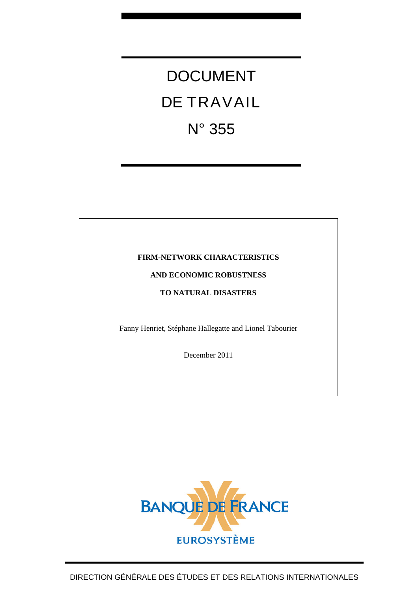# DOCUMENT DE TRAVAIL N° 355

# **FIRM-NETWORK CHARACTERISTICS**

# **AND ECONOMIC ROBUSTNESS**

# **TO NATURAL DISASTERS**

Fanny Henriet, Stéphane Hallegatte and Lionel Tabourier

December 2011



DIRECTION GÉNÉRALE DES ÉTUDES ET DES RELATIONS INTERNATIONALES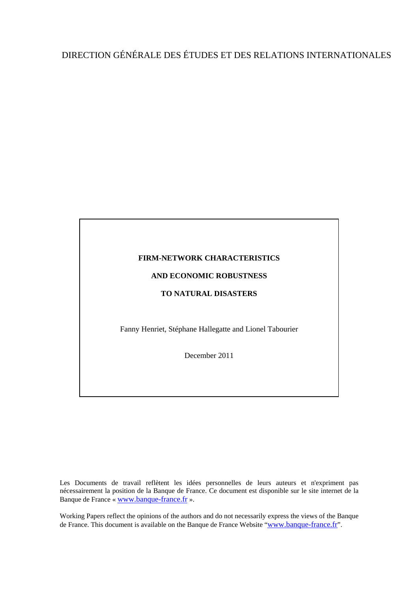# DIRECTION GÉNÉRALE DES ÉTUDES ET DES RELATIONS INTERNATIONALES

# **FIRM-NETWORK CHARACTERISTICS**

# **AND ECONOMIC ROBUSTNESS**

## **TO NATURAL DISASTERS**

Fanny Henriet, Stéphane Hallegatte and Lionel Tabourier

December 2011

Les Documents de travail reflètent les idées personnelles de leurs auteurs et n'expriment pas nécessairement la position de la Banque de France. Ce document est disponible sur le site internet de la Banque de France « [www.banque-france.fr](http://www.banque-france.fr/) ».

Working Papers reflect the opinions of the authors and do not necessarily express the views of the Banque de France. This document is available on the Banque de France Website "[www.banque-france.fr](http://www.banque-france.fr/)".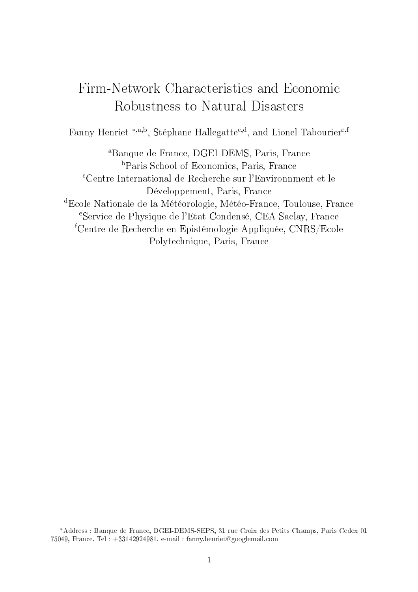# Firm-Network Characteristics and Economic Robustness to Natural Disasters

Fanny Henriet <sup>∗,a,b</sup>, Stéphane Hallegatte<sup>c,d</sup>, and Lionel Tabourier<sup>e,f</sup>

<sup>a</sup>Banque de France, DGEI-DEMS, Paris, France <sup>b</sup>Paris School of Economics, Paris, France <sup>c</sup>Centre International de Recherche sur l'Environnment et le Développement, Paris, France <sup>d</sup>Ecole Nationale de la Météorologie, Météo-France, Toulouse, France <sup>e</sup>Service de Physique de l'Etat Condensé, CEA Saclay, France <sup>f</sup>Centre de Recherche en Epistémologie Appliquée, CNRS/Ecole Polytechnique, Paris, France

<sup>∗</sup>Address : Banque de France, DGEI-DEMS-SEPS, 31 rue Croix des Petits Champs, Paris Cedex 01 75049, France. Tel : +33142924981. e-mail : fanny.henriet@googlemail.com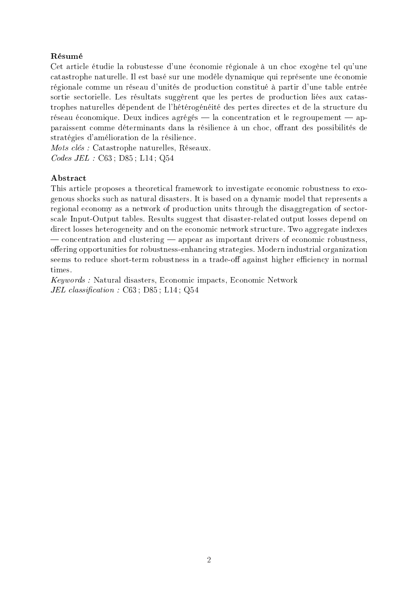# Résumé

Cet article étudie la robustesse d'une économie régionale à un choc exogène tel qu'une catastrophe naturelle. Il est basé sur une modèle dynamique qui représente une économie régionale comme un réseau d'unités de production constitué à partir d'une table entrée sortie sectorielle. Les résultats suggèrent que les pertes de production liées aux catastrophes naturelles dépendent de l'hétérogénéité des pertes directes et de la structure du réseau économique. Deux indices agrégés — la concentration et le regroupement — apparaissent comme déterminants dans la résilience à un choc, offrant des possibilités de stratégies d'amélioration de la résilience.

Mots clés : Catastrophe naturelles, Réseaux. Codes JEL : C63 ; D85 ; L14 ; Q54

# Abstract

This article proposes a theoretical framework to investigate economic robustness to exogenous shocks such as natural disasters. It is based on a dynamic model that represents a regional economy as a network of production units through the disaggregation of sectorscale Input-Output tables. Results suggest that disaster-related output losses depend on direct losses heterogeneity and on the economic network structure. Two aggregate indexes  $\sim$  concentration and clustering  $\sim$  appear as important drivers of economic robustness, offering opportunities for robustness-enhancing strategies. Modern industrial organization seems to reduce short-term robustness in a trade-off against higher efficiency in normal times.

Keywords : Natural disasters, Economic impacts, Economic Network  $JEL$  classification : C63 : D85 : L14 : Q54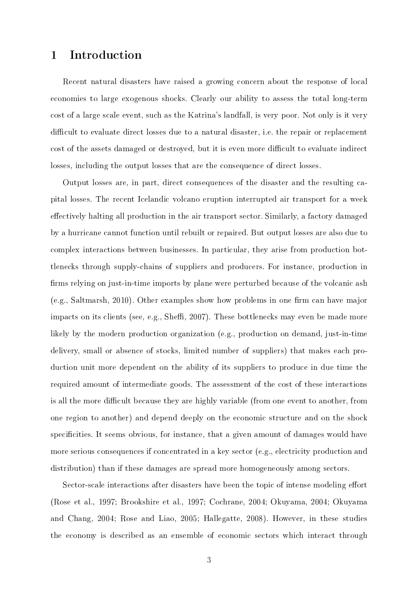# 1 Introduction

Recent natural disasters have raised a growing concern about the response of local economies to large exogenous shocks. Clearly our ability to assess the total long-term cost of a large scale event, such as the Katrina's landfall, is very poor. Not only is it very difficult to evaluate direct losses due to a natural disaster, i.e. the repair or replacement cost of the assets damaged or destroyed, but it is even more difficult to evaluate indirect losses, including the output losses that are the consequence of direct losses.

Output losses are, in part, direct consequences of the disaster and the resulting capital losses. The recent Icelandic volcano eruption interrupted air transport for a week effectively halting all production in the air transport sector. Similarly, a factory damaged by a hurricane cannot function until rebuilt or repaired. But output losses are also due to complex interactions between businesses. In particular, they arise from production bottlenecks through supply-chains of suppliers and producers. For instance, production in firms relying on just-in-time imports by plane were perturbed because of the volcanic ash  $(e.g., Saltmarsh, 2010)$ . Other examples show how problems in one firm can have major impacts on its clients (see, e.g., Sheffi, 2007). These bottlenecks may even be made more likely by the modern production organization (e.g., production on demand, just-in-time delivery, small or absence of stocks, limited number of suppliers) that makes each production unit more dependent on the ability of its suppliers to produce in due time the required amount of intermediate goods. The assessment of the cost of these interactions is all the more difficult because they are highly variable (from one event to another, from one region to another) and depend deeply on the economic structure and on the shock specificities. It seems obvious, for instance, that a given amount of damages would have more serious consequences if concentrated in a key sector (e.g., electricity production and distribution) than if these damages are spread more homogeneously among sectors.

Sector-scale interactions after disasters have been the topic of intense modeling effort (Rose et al., 1997; Brookshire et al., 1997; Cochrane, 2004; Okuyama, 2004; Okuyama and Chang, 2004; Rose and Liao, 2005; Hallegatte, 2008). However, in these studies the economy is described as an ensemble of economic sectors which interact through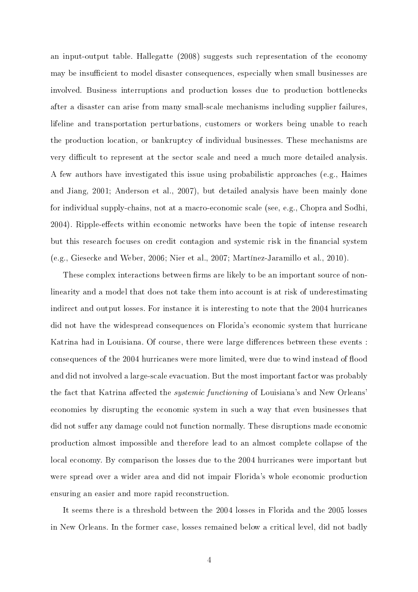an input-output table. Hallegatte (2008) suggests such representation of the economy may be insufficient to model disaster consequences, especially when small businesses are involved. Business interruptions and production losses due to production bottlenecks after a disaster can arise from many small-scale mechanisms including supplier failures, lifeline and transportation perturbations, customers or workers being unable to reach the production location, or bankruptcy of individual businesses. These mechanisms are very difficult to represent at the sector scale and need a much more detailed analysis. A few authors have investigated this issue using probabilistic approaches (e.g., Haimes and Jiang, 2001; Anderson et al., 2007), but detailed analysis have been mainly done for individual supply-chains, not at a macro-economic scale (see, e.g., Chopra and Sodhi, 2004). Ripple-effects within economic networks have been the topic of intense research but this research focuses on credit contagion and systemic risk in the financial system (e.g., Giesecke and Weber, 2006; Nier et al., 2007; Martínez-Jaramillo et al., 2010).

These complex interactions between firms are likely to be an important source of nonlinearity and a model that does not take them into account is at risk of underestimating indirect and output losses. For instance it is interesting to note that the 2004 hurricanes did not have the widespread consequences on Florida's economic system that hurricane Katrina had in Louisiana. Of course, there were large differences between these events : consequences of the 2004 hurricanes were more limited, were due to wind instead of flood and did not involved a large-scale evacuation. But the most important factor was probably the fact that Katrina affected the *systemic functioning* of Louisiana's and New Orleans' economies by disrupting the economic system in such a way that even businesses that did not suffer any damage could not function normally. These disruptions made economic production almost impossible and therefore lead to an almost complete collapse of the local economy. By comparison the losses due to the 2004 hurricanes were important but were spread over a wider area and did not impair Florida's whole economic production ensuring an easier and more rapid reconstruction.

It seems there is a threshold between the 2004 losses in Florida and the 2005 losses in New Orleans. In the former case, losses remained below a critical level, did not badly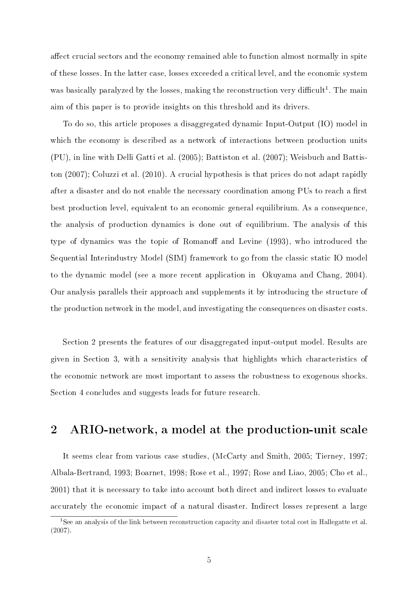affect crucial sectors and the economy remained able to function almost normally in spite of these losses. In the latter case, losses exceeded a critical level, and the economic system was basically paralyzed by the losses, making the reconstruction very difficult<sup>1</sup>. The main aim of this paper is to provide insights on this threshold and its drivers.

To do so, this article proposes a disaggregated dynamic Input-Output (IO) model in which the economy is described as a network of interactions between production units (PU), in line with Delli Gatti et al. (2005); Battiston et al. (2007); Weisbuch and Battiston (2007); Coluzzi et al. (2010). A crucial hypothesis is that prices do not adapt rapidly after a disaster and do not enable the necessary coordination among PUs to reach a first best production level, equivalent to an economic general equilibrium. As a consequence, the analysis of production dynamics is done out of equilibrium. The analysis of this type of dynamics was the topic of Romanoff and Levine (1993), who introduced the Sequential Interindustry Model (SIM) framework to go from the classic static IO model to the dynamic model (see a more recent application in Okuyama and Chang, 2004). Our analysis parallels their approach and supplements it by introducing the structure of the production network in the model, and investigating the consequences on disaster costs.

Section 2 presents the features of our disaggregated input-output model. Results are given in Section 3, with a sensitivity analysis that highlights which characteristics of the economic network are most important to assess the robustness to exogenous shocks. Section 4 concludes and suggests leads for future research.

# 2 ARIO-network, a model at the production-unit scale

It seems clear from various case studies, (McCarty and Smith, 2005; Tierney, 1997; Albala-Bertrand, 1993; Boarnet, 1998; Rose et al., 1997; Rose and Liao, 2005; Cho et al., 2001) that it is necessary to take into account both direct and indirect losses to evaluate accurately the economic impact of a natural disaster. Indirect losses represent a large

<sup>&</sup>lt;sup>1</sup>See an analysis of the link between reconstruction capacity and disaster total cost in Hallegatte et al. (2007).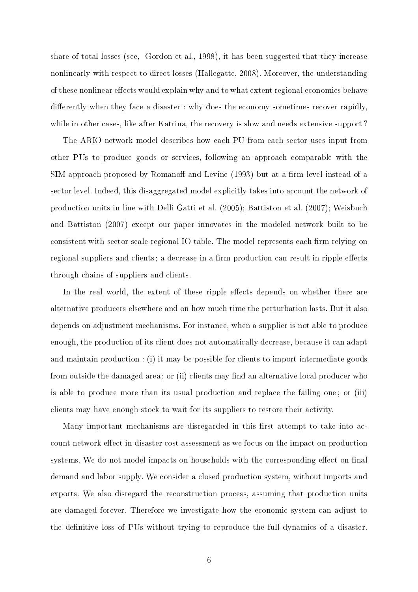share of total losses (see, Gordon et al., 1998), it has been suggested that they increase nonlinearly with respect to direct losses (Hallegatte, 2008). Moreover, the understanding of these nonlinear effects would explain why and to what extent regional economies behave differently when they face a disaster : why does the economy sometimes recover rapidly, while in other cases, like after Katrina, the recovery is slow and needs extensive support?

The ARIO-network model describes how each PU from each sector uses input from other PUs to produce goods or services, following an approach comparable with the SIM approach proposed by Romanoff and Levine (1993) but at a firm level instead of a sector level. Indeed, this disaggregated model explicitly takes into account the network of production units in line with Delli Gatti et al. (2005); Battiston et al. (2007); Weisbuch and Battiston (2007) except our paper innovates in the modeled network built to be consistent with sector scale regional IO table. The model represents each firm relying on regional suppliers and clients; a decrease in a firm production can result in ripple effects through chains of suppliers and clients.

In the real world, the extent of these ripple effects depends on whether there are alternative producers elsewhere and on how much time the perturbation lasts. But it also depends on adjustment mechanisms. For instance, when a supplier is not able to produce enough, the production of its client does not automatically decrease, because it can adapt and maintain production : (i) it may be possible for clients to import intermediate goods from outside the damaged area ; or (ii) clients may find an alternative local producer who is able to produce more than its usual production and replace the failing one ; or (iii) clients may have enough stock to wait for its suppliers to restore their activity.

Many important mechanisms are disregarded in this first attempt to take into account network effect in disaster cost assessment as we focus on the impact on production systems. We do not model impacts on households with the corresponding effect on final demand and labor supply. We consider a closed production system, without imports and exports. We also disregard the reconstruction process, assuming that production units are damaged forever. Therefore we investigate how the economic system can adjust to the definitive loss of PUs without trying to reproduce the full dynamics of a disaster.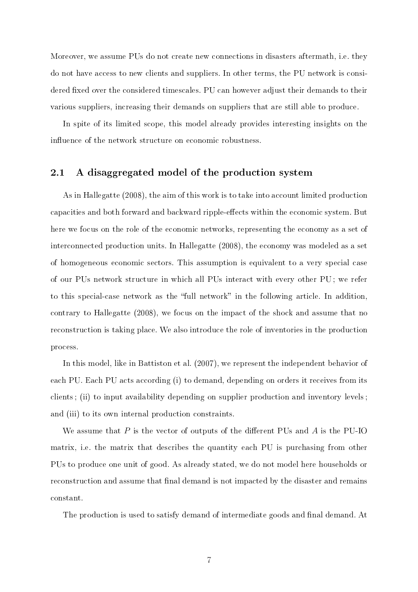Moreover, we assume PUs do not create new connections in disasters aftermath, i.e. they do not have access to new clients and suppliers. In other terms, the PU network is considered fixed over the considered timescales. PU can however adjust their demands to their various suppliers, increasing their demands on suppliers that are still able to produce.

In spite of its limited scope, this model already provides interesting insights on the influence of the network structure on economic robustness.

# 2.1 A disaggregated model of the production system

As in Hallegatte (2008), the aim of this work is to take into account limited production capacities and both forward and backward ripple-effects within the economic system. But here we focus on the role of the economic networks, representing the economy as a set of interconnected production units. In Hallegatte (2008), the economy was modeled as a set of homogeneous economic sectors. This assumption is equivalent to a very special case of our PUs network structure in which all PUs interact with every other PU ; we refer to this special-case network as the "full network" in the following article. In addition, contrary to Hallegatte (2008), we focus on the impact of the shock and assume that no reconstruction is taking place. We also introduce the role of inventories in the production process.

In this model, like in Battiston et al. (2007), we represent the independent behavior of each PU. Each PU acts according (i) to demand, depending on orders it receives from its clients ; (ii) to input availability depending on supplier production and inventory levels ; and (iii) to its own internal production constraints.

We assume that  $P$  is the vector of outputs of the different PUs and  $A$  is the PU-IO matrix, i.e. the matrix that describes the quantity each PU is purchasing from other PUs to produce one unit of good. As already stated, we do not model here households or reconstruction and assume that final demand is not impacted by the disaster and remains constant.

The production is used to satisfy demand of intermediate goods and final demand. At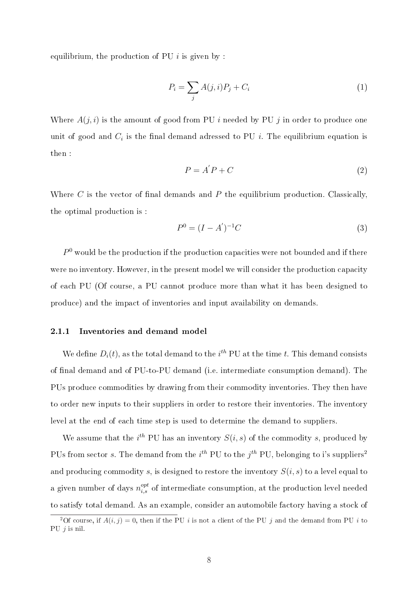equilibrium, the production of PU  $i$  is given by :

$$
P_i = \sum_j A(j, i) P_j + C_i \tag{1}
$$

Where  $A(i, i)$  is the amount of good from PU i needed by PU j in order to produce one unit of good and  $C_i$  is the final demand adressed to PU *i*. The equilibrium equation is then :

$$
P = A'P + C \tag{2}
$$

Where C is the vector of final demands and P the equilibrium production. Classically, the optimal production is :

$$
P^0 = (I - A')^{-1}C \tag{3}
$$

 $P<sup>0</sup>$  would be the production if the production capacities were not bounded and if there were no inventory. However, in the present model we will consider the production capacity of each PU (Of course, a PU cannot produce more than what it has been designed to produce) and the impact of inventories and input availability on demands.

#### 2.1.1 Inventories and demand model

We define  $D_i(t)$ , as the total demand to the  $i^{th}$  PU at the time t. This demand consists of final demand and of PU-to-PU demand (i.e. intermediate consumption demand). The PUs produce commodities by drawing from their commodity inventories. They then have to order new inputs to their suppliers in order to restore their inventories. The inventory level at the end of each time step is used to determine the demand to suppliers.

We assume that the  $i^{th}$  PU has an inventory  $S(i, s)$  of the commodity s, produced by PUs from sector  $s$ . The demand from the  $i^{th}$  PU to the  $j^{th}$  PU, belonging to i's suppliers<sup>2</sup> and producing commodity s, is designed to restore the inventory  $S(i, s)$  to a level equal to a given number of days  $n_{i,s}^{opt}$  of intermediate consumption, at the production level needed to satisfy total demand. As an example, consider an automobile factory having a stock of

<sup>&</sup>lt;sup>2</sup>Of course, if  $A(i, j) = 0$ , then if the PU i is not a client of the PU j and the demand from PU i to PU j is nil.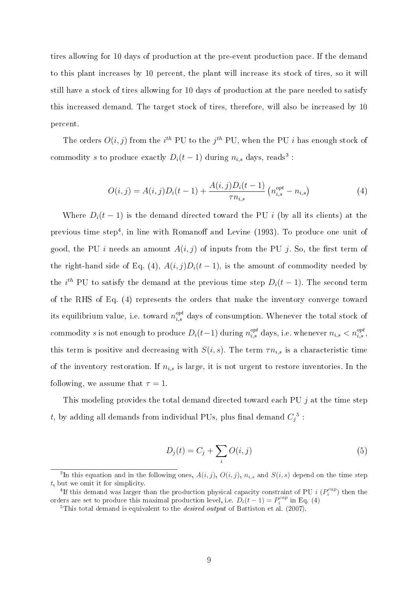tires allowing for 10 days of production at the pre-event production pace. If the demand to this plant increases by 10 percent, the plant will increase its stock of tires, so it will still have a stock of tires allowing for 10 days of production at the pace needed to satisfy this increased demand. The target stock of tires, therefore, will also be increased by 10 percent.

The orders  $O(i, j)$  from the  $i^{th}$  PU to the  $j^{th}$  PU, when the PU i has enough stock of commodity s to produce exactly  $D_i(t-1)$  during  $n_{i,s}$  days, reads<sup>3</sup>:

$$
O(i,j) = A(i,j)D_i(t-1) + \frac{A(i,j)D_i(t-1)}{\tau n_{i,s}} \left(n_{i,s}^{opt} - n_{i,s}\right)
$$
(4)

Where  $D_i(t-1)$  is the demand directed toward the PU i (by all its clients) at the previous time step<sup>4</sup>, in line with Romanoff and Levine (1993). To produce one unit of good, the PU i needs an amount  $A(i, j)$  of inputs from the PU j. So, the first term of the right-hand side of Eq. (4),  $A(i, j)D_i(t - 1)$ , is the amount of commodity needed by the i<sup>th</sup> PU to satisfy the demand at the previous time step  $D_i(t-1)$ . The second term of the RHS of Eq. (4) represents the orders that make the inventory converge toward its equilibrium value, i.e. toward  $n_{i,s}^{opt}$  days of consumption. Whenever the total stock of commodity  $s$  is not enough to produce  $D_i(t-1)$  during  $n_{i,s}^{opt}$  days, i.e. whenever  $n_{i,s} < n_{i,s}^{opt},$ this term is positive and decreasing with  $S(i, s)$ . The term  $\tau n_{i,s}$  is a characteristic time of the inventory restoration. If  $n_{i,s}$  is large, it is not urgent to restore inventories. In the following, we assume that  $\tau = 1$ .

This modeling provides the total demand directed toward each PU  $j$  at the time step t, by adding all demands from individual PUs, plus final demand  $C_j{}^5$  :

$$
D_j(t) = C_j + \sum_i O(i, j) \tag{5}
$$

<sup>&</sup>lt;sup>3</sup>In this equation and in the following ones,  $A(i, j)$ ,  $O(i, j)$ ,  $n_{i,s}$  and  $S(i, s)$  depend on the time step t, but we omit it for simplicity.

<sup>&</sup>lt;sup>4</sup>If this demand was larger than the production physical capacity constraint of PU *i*  $(P_i^{cap})$  then the orders are set to produce this maximal production level, i.e.  $D_i(t-1) = P_i^{cap}$  in Eq. (4)

 $5$ This total demand is equivalent to the *desired output* of Battiston et al. (2007).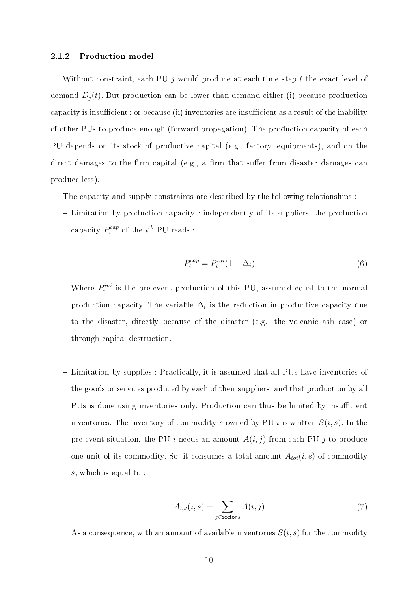#### 2.1.2 Production model

Without constraint, each PU j would produce at each time step t the exact level of demand  $D_j(t)$ . But production can be lower than demand either (i) because production capacity is insufficient; or because (ii) inventories are insufficient as a result of the inability of other PUs to produce enough (forward propagation). The production capacity of each PU depends on its stock of productive capital (e.g., factory, equipments), and on the direct damages to the firm capital (e.g., a firm that suffer from disaster damages can produce less).

The capacity and supply constraints are described by the following relationships :

 Limitation by production capacity : independently of its suppliers, the production capacity  $P_i^{cap}$  $i^{cap}$  of the  $i^{th}$  PU reads :

$$
P_i^{cap} = P_i^{ini} (1 - \Delta_i)
$$
\n<sup>(6)</sup>

Where  $P_i^{ini}$  is the pre-event production of this PU, assumed equal to the normal production capacity. The variable  $\Delta_i$  is the reduction in productive capacity due to the disaster, directly because of the disaster (e.g., the volcanic ash case) or through capital destruction.

- Limitation by supplies : Practically, it is assumed that all PUs have inventories of the goods or services produced by each of their suppliers, and that production by all PUs is done using inventories only. Production can thus be limited by insufficient inventories. The inventory of commodity s owned by PU i is written  $S(i, s)$ . In the pre-event situation, the PU i needs an amount  $A(i, j)$  from each PU j to produce one unit of its commodity. So, it consumes a total amount  $A_{tot}(i, s)$  of commodity s, which is equal to :

$$
A_{tot}(i,s) = \sum_{j \in \text{sector } s} A(i,j) \tag{7}
$$

As a consequence, with an amount of available inventories  $S(i, s)$  for the commodity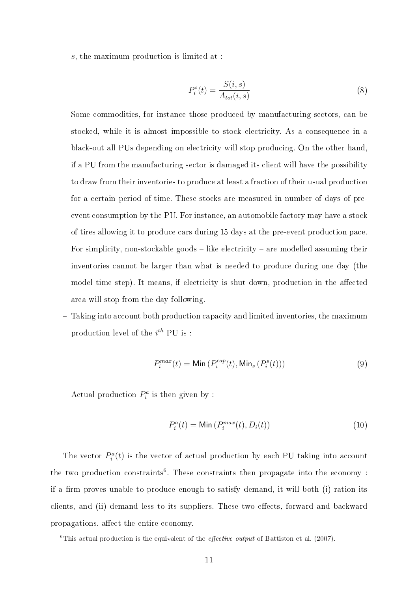s, the maximum production is limited at :

$$
P_i^s(t) = \frac{S(i, s)}{A_{tot}(i, s)}\tag{8}
$$

Some commodities, for instance those produced by manufacturing sectors, can be stocked, while it is almost impossible to stock electricity. As a consequence in a black-out all PUs depending on electricity will stop producing. On the other hand, if a PU from the manufacturing sector is damaged its client will have the possibility to draw from their inventories to produce at least a fraction of their usual production for a certain period of time. These stocks are measured in number of days of preevent consumption by the PU. For instance, an automobile factory may have a stock of tires allowing it to produce cars during 15 days at the pre-event production pace. For simplicity, non-stockable goods  $-$  like electricity  $-$  are modelled assuming their inventories cannot be larger than what is needed to produce during one day (the model time step). It means, if electricity is shut down, production in the affected area will stop from the day following.

- Taking into account both production capacity and limited inventories, the maximum production level of the  $i^{th}$  PU is :

$$
P_i^{max}(t) = \text{Min}\left(P_i^{cap}(t), \text{Min}_s\left(P_i^s(t)\right)\right) \tag{9}
$$

Actual production  $P_i^a$  is then given by :

$$
P_i^a(t) = \text{Min}\left(P_i^{max}(t), D_i(t)\right) \tag{10}
$$

The vector  $P_i^a(t)$  is the vector of actual production by each PU taking into account the two production constraints<sup>6</sup>. These constraints then propagate into the economy : if a firm proves unable to produce enough to satisfy demand, it will both (i) ration its clients, and (ii) demand less to its suppliers. These two effects, forward and backward propagations, affect the entire economy.

 $6$ This actual production is the equivalent of the *effective output* of Battiston et al. (2007).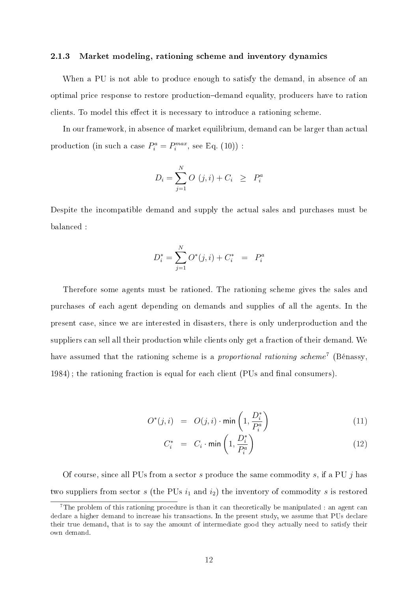#### 2.1.3 Market modeling, rationing scheme and inventory dynamics

When a PU is not able to produce enough to satisfy the demand, in absence of an optimal price response to restore production-demand equality, producers have to ration clients. To model this effect it is necessary to introduce a rationing scheme.

In our framework, in absence of market equilibrium, demand can be larger than actual production (in such a case  $P_i^a = P_i^{max}$ , see Eq. (10)) :

$$
D_i = \sum_{j=1}^{N} O(j, i) + C_i \ge P_i^a
$$

Despite the incompatible demand and supply the actual sales and purchases must be balanced :

$$
D_i^* = \sum_{j=1}^N O^*(j, i) + C_i^* = P_i^a
$$

Therefore some agents must be rationed. The rationing scheme gives the sales and purchases of each agent depending on demands and supplies of all the agents. In the present case, since we are interested in disasters, there is only underproduction and the suppliers can sell all their production while clients only get a fraction of their demand. We have assumed that the rationing scheme is a *proportional rationing scheme*<sup>7</sup> (Bénassy,  $1984)$ ; the rationing fraction is equal for each client (PUs and final consumers).

$$
O^*(j, i) = O(j, i) \cdot \min\left(1, \frac{D_i^*}{P_i^a}\right) \tag{11}
$$

$$
C_i^* = C_i \cdot \min\left(1, \frac{D_i^*}{P_i^a}\right) \tag{12}
$$

Of course, since all PUs from a sector s produce the same commodity s, if a PU  $j$  has two suppliers from sector s (the PUs  $i_1$  and  $i_2$ ) the inventory of commodity s is restored

<sup>7</sup>The problem of this rationing procedure is than it can theoretically be manipulated : an agent can declare a higher demand to increase his transactions. In the present study, we assume that PUs declare their true demand, that is to say the amount of intermediate good they actually need to satisfy their own demand.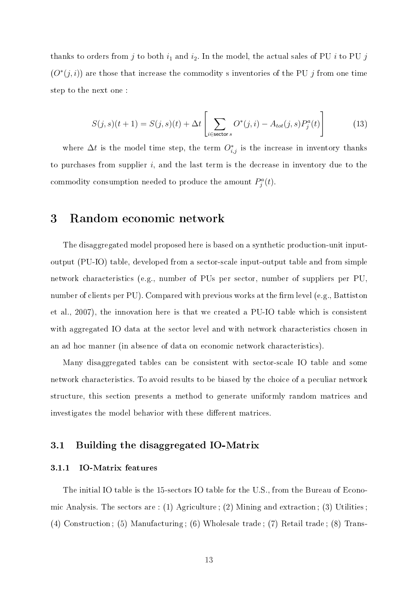thanks to orders from j to both  $i_1$  and  $i_2$ . In the model, the actual sales of PU i to PU j  $(O^*(j,i))$  are those that increase the commodity s inventories of the PU j from one time step to the next one :

$$
S(j,s)(t+1) = S(j,s)(t) + \Delta t \left[ \sum_{i \in \text{sector } s} O^*(j,i) - A_{tot}(j,s) P_j^a(t) \right]
$$
(13)

where  $\Delta t$  is the model time step, the term  $O_{i,j}^*$  is the increase in inventory thanks to purchases from supplier  $i$ , and the last term is the decrease in inventory due to the commodity consumption needed to produce the amount  $P_j^a(t)$ .

# 3 Random economic network

The disaggregated model proposed here is based on a synthetic production-unit inputoutput (PU-IO) table, developed from a sector-scale input-output table and from simple network characteristics (e.g., number of PUs per sector, number of suppliers per PU, number of clients per PU). Compared with previous works at the firm level (e.g., Battiston et al., 2007), the innovation here is that we created a PU-IO table which is consistent with aggregated IO data at the sector level and with network characteristics chosen in an ad hoc manner (in absence of data on economic network characteristics).

Many disaggregated tables can be consistent with sector-scale IO table and some network characteristics. To avoid results to be biased by the choice of a peculiar network structure, this section presents a method to generate uniformly random matrices and investigates the model behavior with these different matrices.

# 3.1 Building the disaggregated IO-Matrix

#### 3.1.1 IO-Matrix features

The initial IO table is the 15-sectors IO table for the U.S., from the Bureau of Economic Analysis. The sectors are  $: (1)$  Agriculture  $: (2)$  Mining and extraction  $: (3)$  Utilities ; (4) Construction ; (5) Manufacturing ; (6) Wholesale trade ; (7) Retail trade ; (8) Trans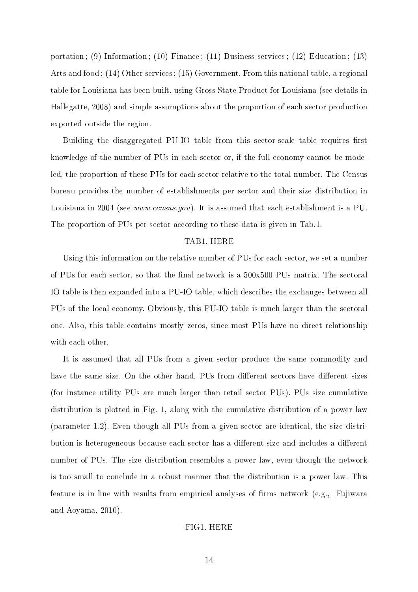portation ; (9) Information ; (10) Finance ; (11) Business services ; (12) Education ; (13) Arts and food ; (14) Other services ; (15) Government. From this national table, a regional table for Louisiana has been built, using Gross State Product for Louisiana (see details in Hallegatte, 2008) and simple assumptions about the proportion of each sector production exported outside the region.

Building the disaggregated PU-IO table from this sector-scale table requires first knowledge of the number of PUs in each sector or, if the full economy cannot be modeled, the proportion of these PUs for each sector relative to the total number. The Census bureau provides the number of establishments per sector and their size distribution in Louisiana in 2004 (see www.census.gov). It is assumed that each establishment is a PU. The proportion of PUs per sector according to these data is given in Tab.1.

#### TAB1. HERE

Using this information on the relative number of PUs for each sector, we set a number of PUs for each sector, so that the final network is a  $500x500$  PUs matrix. The sectoral IO table is then expanded into a PU-IO table, which describes the exchanges between all PUs of the local economy. Obviously, this PU-IO table is much larger than the sectoral one. Also, this table contains mostly zeros, since most PUs have no direct relationship with each other.

It is assumed that all PUs from a given sector produce the same commodity and have the same size. On the other hand, PUs from different sectors have different sizes (for instance utility PUs are much larger than retail sector PUs). PUs size cumulative distribution is plotted in Fig. 1, along with the cumulative distribution of a power law (parameter 1.2). Even though all PUs from a given sector are identical, the size distribution is heterogeneous because each sector has a different size and includes a different number of PUs. The size distribution resembles a power law, even though the network is too small to conclude in a robust manner that the distribution is a power law. This feature is in line with results from empirical analyses of firms network (e.g., Fujiwara and Aoyama, 2010).

### FIG1. HERE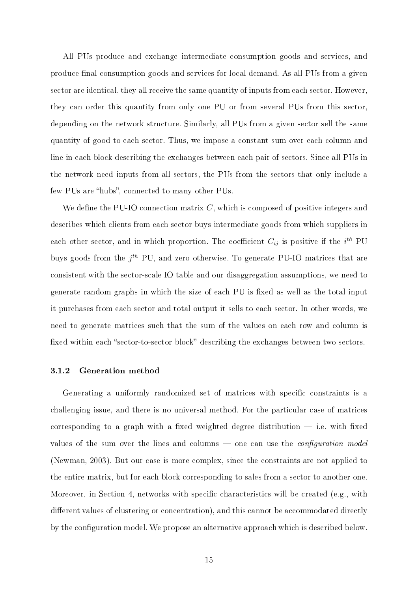All PUs produce and exchange intermediate consumption goods and services, and produce final consumption goods and services for local demand. As all PUs from a given sector are identical, they all receive the same quantity of inputs from each sector. However, they can order this quantity from only one PU or from several PUs from this sector, depending on the network structure. Similarly, all PUs from a given sector sell the same quantity of good to each sector. Thus, we impose a constant sum over each column and line in each block describing the exchanges between each pair of sectors. Since all PUs in the network need inputs from all sectors, the PUs from the sectors that only include a few PUs are "hubs", connected to many other PUs.

We define the PU-IO connection matrix  $C$ , which is composed of positive integers and describes which clients from each sector buys intermediate goods from which suppliers in each other sector, and in which proportion. The coefficient  $C_{ij}$  is positive if the  $i^{th}$  PU buys goods from the  $j^{th}$  PU, and zero otherwise. To generate PU-IO matrices that are consistent with the sector-scale IO table and our disaggregation assumptions, we need to generate random graphs in which the size of each PU is fixed as well as the total input it purchases from each sector and total output it sells to each sector. In other words, we need to generate matrices such that the sum of the values on each row and column is fixed within each "sector-to-sector block" describing the exchanges between two sectors.

#### 3.1.2 Generation method

Generating a uniformly randomized set of matrices with specific constraints is a challenging issue, and there is no universal method. For the particular case of matrices corresponding to a graph with a fixed weighted degree distribution  $-$  i.e. with fixed values of the sum over the lines and columns  $\sim$  one can use the *configuration model* (Newman, 2003). But our case is more complex, since the constraints are not applied to the entire matrix, but for each block corresponding to sales from a sector to another one. Moreover, in Section 4, networks with specific characteristics will be created (e.g., with different values of clustering or concentration), and this cannot be accommodated directly by the configuration model. We propose an alternative approach which is described below.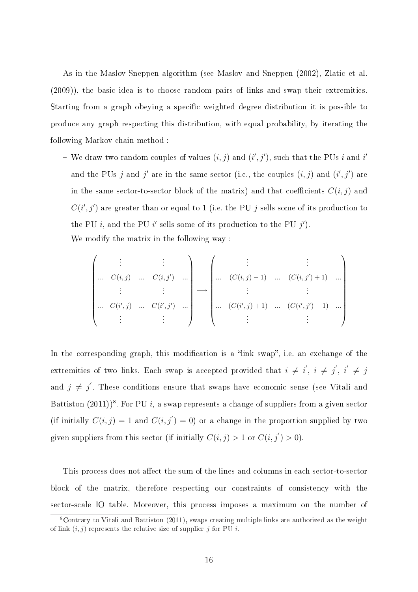As in the Maslov-Sneppen algorithm (see Maslov and Sneppen (2002), Zlatic et al. (2009)), the basic idea is to choose random pairs of links and swap their extremities. Starting from a graph obeying a specific weighted degree distribution it is possible to produce any graph respecting this distribution, with equal probability, by iterating the following Markov-chain method :

- We draw two random couples of values  $(i, j)$  and  $(i', j')$ , such that the PUs i and i' and the PUs j and j' are in the same sector (i.e., the couples  $(i, j)$  and  $(i', j')$  are in the same sector-to-sector block of the matrix) and that coefficients  $C(i, j)$  and  $C(i',j')$  are greater than or equal to 1 (i.e. the PU j sells some of its production to the PU i, and the PU i' sells some of its production to the PU  $j'$ ).
- We modify the matrix in the following way:

$$
\begin{pmatrix}\n\vdots & & & & \\
\ldots & C(i,j) & \ldots & C(i,j') & \ldots \\
\vdots & & & & \\
\ldots & C(i',j) & \ldots & C(i',j') & \ldots \\
\vdots & & & & \\
\end{pmatrix}\n\longrightarrow\n\begin{pmatrix}\n\vdots & & & & \\
\ldots & (C(i,j)-1) & \ldots & (C(i,j')+1) & \ldots \\
\vdots & & & & \\
\ldots & (C(i',j)+1) & \ldots & (C(i',j')-1) & \ldots \\
\vdots & & & & \\
\end{pmatrix}
$$

In the corresponding graph, this modification is a "link swap", i.e. an exchange of the extremities of two links. Each swap is accepted provided that  $i \neq i'$ ,  $i \neq j'$ ,  $i' \neq j$ and  $j \neq j^{'}$ . These conditions ensure that swaps have economic sense (see Vitali and Battiston  $(2011))^8$ . For PU i, a swap represents a change of suppliers from a given sector (if initially  $C(i, j) = 1$  and  $C(i, j') = 0$ ) or a change in the proportion supplied by two given suppliers from this sector (if initially  $C(i, j) > 1$  or  $C(i, j') > 0$ ).

This process does not affect the sum of the lines and columns in each sector-to-sector block of the matrix, therefore respecting our constraints of consistency with the sector-scale IO table. Moreover, this process imposes a maximum on the number of

<sup>8</sup>Contrary to Vitali and Battiston (2011), swaps creating multiple links are authorized as the weight of link  $(i, j)$  represents the relative size of supplier j for PU i.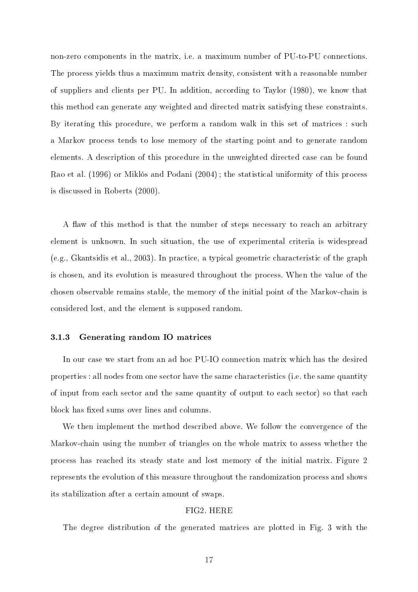non-zero components in the matrix, i.e. a maximum number of PU-to-PU connections. The process yields thus a maximum matrix density, consistent with a reasonable number of suppliers and clients per PU. In addition, according to Taylor (1980), we know that this method can generate any weighted and directed matrix satisfying these constraints. By iterating this procedure, we perform a random walk in this set of matrices : such a Markov process tends to lose memory of the starting point and to generate random elements. A description of this procedure in the unweighted directed case can be found Rao et al. (1996) or Miklós and Podani (2004) ; the statistical uniformity of this process is discussed in Roberts (2000).

A flaw of this method is that the number of steps necessary to reach an arbitrary element is unknown. In such situation, the use of experimental criteria is widespread (e.g., Gkantsidis et al., 2003). In practice, a typical geometric characteristic of the graph is chosen, and its evolution is measured throughout the process. When the value of the chosen observable remains stable, the memory of the initial point of the Markov-chain is considered lost, and the element is supposed random.

#### 3.1.3 Generating random IO matrices

In our case we start from an ad hoc PU-IO connection matrix which has the desired properties : all nodes from one sector have the same characteristics (i.e. the same quantity of input from each sector and the same quantity of output to each sector) so that each block has fixed sums over lines and columns.

We then implement the method described above. We follow the convergence of the Markov-chain using the number of triangles on the whole matrix to assess whether the process has reached its steady state and lost memory of the initial matrix. Figure 2 represents the evolution of this measure throughout the randomization process and shows its stabilization after a certain amount of swaps.

#### FIG2. HERE

The degree distribution of the generated matrices are plotted in Fig. 3 with the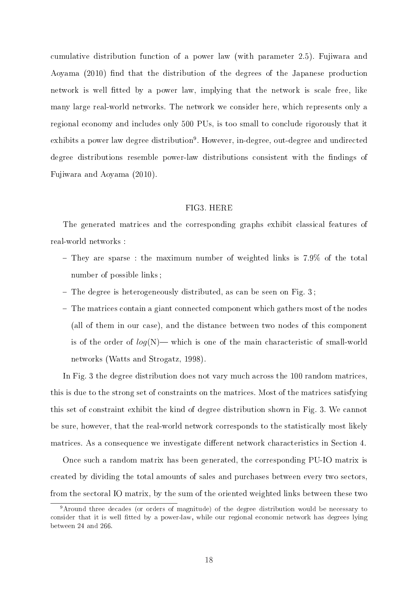cumulative distribution function of a power law (with parameter 2.5). Fujiwara and Aoyama  $(2010)$  find that the distribution of the degrees of the Japanese production network is well fitted by a power law, implying that the network is scale free, like many large real-world networks. The network we consider here, which represents only a regional economy and includes only 500 PUs, is too small to conclude rigorously that it exhibits a power law degree distribution<sup>9</sup>. However, in-degree, out-degree and undirected degree distributions resemble power-law distributions consistent with the findings of Fujiwara and Aoyama (2010).

#### FIG3. HERE

The generated matrices and the corresponding graphs exhibit classical features of real-world networks :

- $-$  They are sparse : the maximum number of weighted links is 7.9% of the total number of possible links ;
- The degree is heterogeneously distributed, as can be seen on Fig. 3;
- The matrices contain a giant connected component which gathers most of the nodes (all of them in our case), and the distance between two nodes of this component is of the order of  $log(N)$ — which is one of the main characteristic of small-world networks (Watts and Strogatz, 1998).

In Fig. 3 the degree distribution does not vary much across the 100 random matrices, this is due to the strong set of constraints on the matrices. Most of the matrices satisfying this set of constraint exhibit the kind of degree distribution shown in Fig. 3. We cannot be sure, however, that the real-world network corresponds to the statistically most likely matrices. As a consequence we investigate different network characteristics in Section 4.

Once such a random matrix has been generated, the corresponding PU-IO matrix is created by dividing the total amounts of sales and purchases between every two sectors, from the sectoral IO matrix, by the sum of the oriented weighted links between these two

<sup>9</sup>Around three decades (or orders of magnitude) of the degree distribution would be necessary to consider that it is well fitted by a power-law, while our regional economic network has degrees lying between 24 and 266.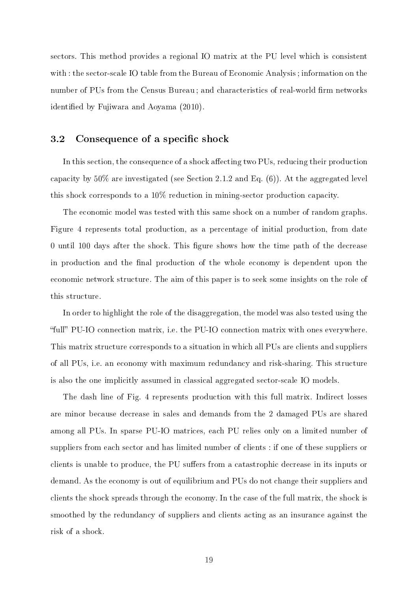sectors. This method provides a regional IO matrix at the PU level which is consistent with : the sector-scale IO table from the Bureau of Economic Analysis ; information on the number of PUs from the Census Bureau; and characteristics of real-world firm networks identified by Fujiwara and Aoyama (2010).

# 3.2 Consequence of a specific shock

In this section, the consequence of a shock affecting two PUs, reducing their production capacity by 50% are investigated (see Section 2.1.2 and Eq. (6)). At the aggregated level this shock corresponds to a 10% reduction in mining-sector production capacity.

The economic model was tested with this same shock on a number of random graphs. Figure 4 represents total production, as a percentage of initial production, from date 0 until 100 days after the shock. This figure shows how the time path of the decrease in production and the final production of the whole economy is dependent upon the economic network structure. The aim of this paper is to seek some insights on the role of this structure.

In order to highlight the role of the disaggregation, the model was also tested using the "full" PU-IO connection matrix, i.e. the PU-IO connection matrix with ones everywhere. This matrix structure corresponds to a situation in which all PUs are clients and suppliers of all PUs, i.e. an economy with maximum redundancy and risk-sharing. This structure is also the one implicitly assumed in classical aggregated sector-scale IO models.

The dash line of Fig. 4 represents production with this full matrix. Indirect losses are minor because decrease in sales and demands from the 2 damaged PUs are shared among all PUs. In sparse PU-IO matrices, each PU relies only on a limited number of suppliers from each sector and has limited number of clients : if one of these suppliers or clients is unable to produce, the PU suffers from a catastrophic decrease in its inputs or demand. As the economy is out of equilibrium and PUs do not change their suppliers and clients the shock spreads through the economy. In the case of the full matrix, the shock is smoothed by the redundancy of suppliers and clients acting as an insurance against the risk of a shock.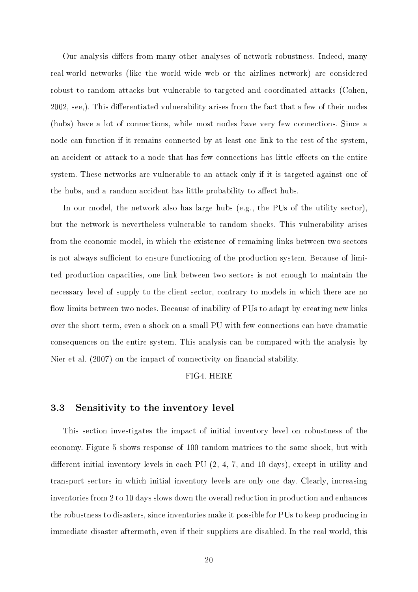Our analysis differs from many other analyses of network robustness. Indeed, many real-world networks (like the world wide web or the airlines network) are considered robust to random attacks but vulnerable to targeted and coordinated attacks (Cohen, 2002, see,). This differentiated vulnerability arises from the fact that a few of their nodes (hubs) have a lot of connections, while most nodes have very few connections. Since a node can function if it remains connected by at least one link to the rest of the system, an accident or attack to a node that has few connections has little effects on the entire system. These networks are vulnerable to an attack only if it is targeted against one of the hubs, and a random accident has little probability to affect hubs.

In our model, the network also has large hubs (e.g., the PUs of the utility sector), but the network is nevertheless vulnerable to random shocks. This vulnerability arises from the economic model, in which the existence of remaining links between two sectors is not always sufficient to ensure functioning of the production system. Because of limited production capacities, one link between two sectors is not enough to maintain the necessary level of supply to the client sector, contrary to models in which there are no flow limits between two nodes. Because of inability of PUs to adapt by creating new links over the short term, even a shock on a small PU with few connections can have dramatic consequences on the entire system. This analysis can be compared with the analysis by Nier et al. (2007) on the impact of connectivity on financial stability.

### FIG4. HERE

### 3.3 Sensitivity to the inventory level

This section investigates the impact of initial inventory level on robustness of the economy. Figure 5 shows response of 100 random matrices to the same shock, but with different initial inventory levels in each PU  $(2, 4, 7, 4, 10)$  days), except in utility and transport sectors in which initial inventory levels are only one day. Clearly, increasing inventories from 2 to 10 days slows down the overall reduction in production and enhances the robustness to disasters, since inventories make it possible for PUs to keep producing in immediate disaster aftermath, even if their suppliers are disabled. In the real world, this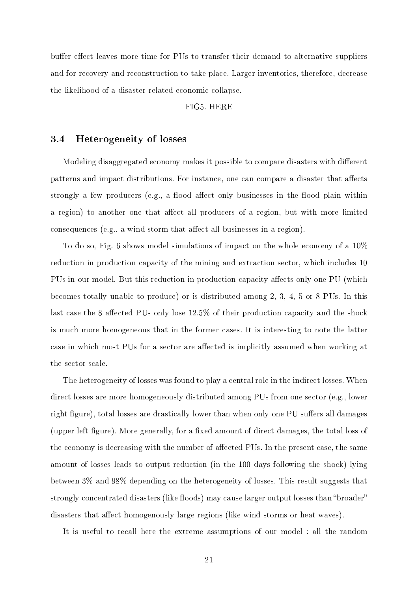buffer effect leaves more time for PUs to transfer their demand to alternative suppliers and for recovery and reconstruction to take place. Larger inventories, therefore, decrease the likelihood of a disaster-related economic collapse.

#### FIG5. HERE

# 3.4 Heterogeneity of losses

Modeling disaggregated economy makes it possible to compare disasters with different patterns and impact distributions. For instance, one can compare a disaster that affects strongly a few producers (e.g., a flood affect only businesses in the flood plain within a region) to another one that affect all producers of a region, but with more limited consequences (e.g., a wind storm that affect all businesses in a region).

To do so, Fig. 6 shows model simulations of impact on the whole economy of a 10% reduction in production capacity of the mining and extraction sector, which includes 10 PUs in our model. But this reduction in production capacity affects only one PU (which becomes totally unable to produce) or is distributed among 2, 3, 4, 5 or 8 PUs. In this last case the 8 affected PUs only lose  $12.5\%$  of their production capacity and the shock is much more homogeneous that in the former cases. It is interesting to note the latter case in which most PUs for a sector are affected is implicitly assumed when working at the sector scale.

The heterogeneity of losses was found to play a central role in the indirect losses. When direct losses are more homogeneously distributed among PUs from one sector (e.g., lower right figure), total losses are drastically lower than when only one PU suffers all damages (upper left figure). More generally, for a fixed amount of direct damages, the total loss of the economy is decreasing with the number of affected PUs. In the present case, the same amount of losses leads to output reduction (in the 100 days following the shock) lying between 3% and 98% depending on the heterogeneity of losses. This result suggests that strongly concentrated disasters (like floods) may cause larger output losses than "broader" disasters that affect homogenously large regions (like wind storms or heat waves).

It is useful to recall here the extreme assumptions of our model : all the random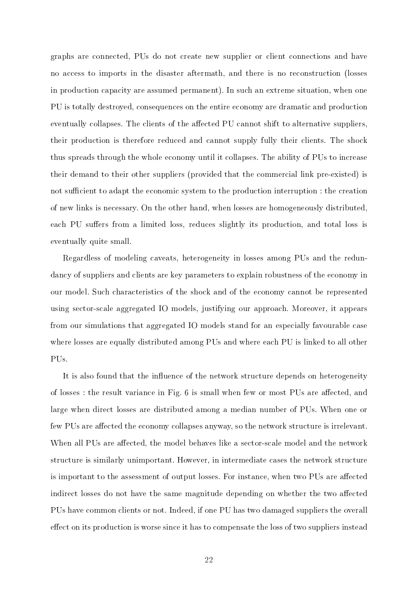graphs are connected, PUs do not create new supplier or client connections and have no access to imports in the disaster aftermath, and there is no reconstruction (losses in production capacity are assumed permanent). In such an extreme situation, when one PU is totally destroyed, consequences on the entire economy are dramatic and production eventually collapses. The clients of the affected PU cannot shift to alternative suppliers, their production is therefore reduced and cannot supply fully their clients. The shock thus spreads through the whole economy until it collapses. The ability of PUs to increase their demand to their other suppliers (provided that the commercial link pre-existed) is not sufficient to adapt the economic system to the production interruption : the creation of new links is necessary. On the other hand, when losses are homogeneously distributed, each PU suffers from a limited loss, reduces slightly its production, and total loss is eventually quite small.

Regardless of modeling caveats, heterogeneity in losses among PUs and the redundancy of suppliers and clients are key parameters to explain robustness of the economy in our model. Such characteristics of the shock and of the economy cannot be represented using sector-scale aggregated IO models, justifying our approach. Moreover, it appears from our simulations that aggregated IO models stand for an especially favourable case where losses are equally distributed among PUs and where each PU is linked to all other PUs.

It is also found that the influence of the network structure depends on heterogeneity of losses : the result variance in Fig.  $6$  is small when few or most PUs are affected, and large when direct losses are distributed among a median number of PUs. When one or few PUs are affected the economy collapses anyway, so the network structure is irrelevant. When all PUs are affected, the model behaves like a sector-scale model and the network structure is similarly unimportant. However, in intermediate cases the network structure is important to the assessment of output losses. For instance, when two PUs are affected indirect losses do not have the same magnitude depending on whether the two affected PUs have common clients or not. Indeed, if one PU has two damaged suppliers the overall effect on its production is worse since it has to compensate the loss of two suppliers instead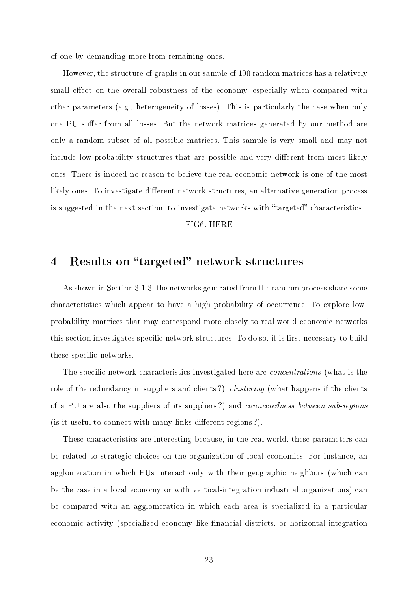of one by demanding more from remaining ones.

However, the structure of graphs in our sample of 100 random matrices has a relatively small effect on the overall robustness of the economy, especially when compared with other parameters (e.g., heterogeneity of losses). This is particularly the case when only one PU suffer from all losses. But the network matrices generated by our method are only a random subset of all possible matrices. This sample is very small and may not include low-probability structures that are possible and very different from most likely ones. There is indeed no reason to believe the real economic network is one of the most likely ones. To investigate different network structures, an alternative generation process is suggested in the next section, to investigate networks with "targeted" characteristics.

#### FIG6. HERE

# 4 Results on "targeted" network structures

As shown in Section 3.1.3, the networks generated from the random process share some characteristics which appear to have a high probability of occurrence. To explore lowprobability matrices that may correspond more closely to real-world economic networks this section investigates specific network structures. To do so, it is first necessary to build these specific networks.

The specific network characteristics investigated here are *concentrations* (what is the role of the redundancy in suppliers and clients ?), *clustering* (what happens if the clients of a PU are also the suppliers of its suppliers ?) and connectedness between sub-regions (is it useful to connect with many links different regions?).

These characteristics are interesting because, in the real world, these parameters can be related to strategic choices on the organization of local economies. For instance, an agglomeration in which PUs interact only with their geographic neighbors (which can be the case in a local economy or with vertical-integration industrial organizations) can be compared with an agglomeration in which each area is specialized in a particular economic activity (specialized economy like financial districts, or horizontal-integration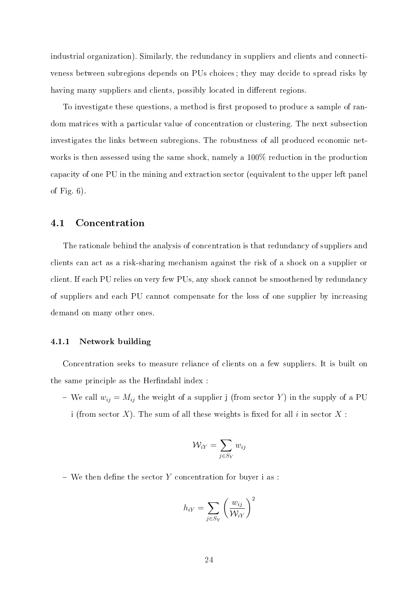industrial organization). Similarly, the redundancy in suppliers and clients and connectiveness between subregions depends on PUs choices ; they may decide to spread risks by having many suppliers and clients, possibly located in different regions.

To investigate these questions, a method is first proposed to produce a sample of random matrices with a particular value of concentration or clustering. The next subsection investigates the links between subregions. The robustness of all produced economic networks is then assessed using the same shock, namely a 100% reduction in the production capacity of one PU in the mining and extraction sector (equivalent to the upper left panel of Fig. 6).

# 4.1 Concentration

The rationale behind the analysis of concentration is that redundancy of suppliers and clients can act as a risk-sharing mechanism against the risk of a shock on a supplier or client. If each PU relies on very few PUs, any shock cannot be smoothened by redundancy of suppliers and each PU cannot compensate for the loss of one supplier by increasing demand on many other ones.

### 4.1.1 Network building

Concentration seeks to measure reliance of clients on a few suppliers. It is built on the same principle as the Herfindahl index :

- We call  $w_{ij} = M_{ij}$  the weight of a supplier j (from sector Y) in the supply of a PU
	- i (from sector X). The sum of all these weights is fixed for all i in sector X:

$$
\mathcal{W}_{iY} = \sum_{j \in S_Y} w_{ij}
$$

- We then define the sector Y concentration for buyer i as :

$$
h_{iY} = \sum_{j \in S_Y} \left(\frac{w_{ij}}{\mathcal{W}_{iY}}\right)^2
$$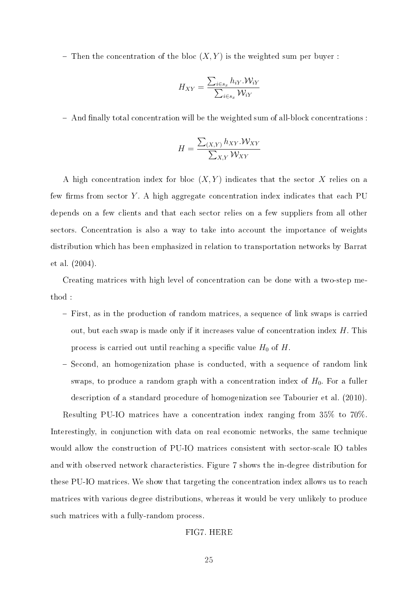- Then the concentration of the bloc  $(X, Y)$  is the weighted sum per buyer :

$$
H_{XY} = \frac{\sum_{i \in s_x} h_{iY} . \mathcal{W}_{iY}}{\sum_{i \in s_x} \mathcal{W}_{iY}}
$$

- And finally total concentration will be the weighted sum of all-block concentrations :

$$
H = \frac{\sum_{(X,Y)} h_{XY} . \mathcal{W}_{XY}}{\sum_{X,Y} \mathcal{W}_{XY}}
$$

A high concentration index for bloc  $(X, Y)$  indicates that the sector X relies on a few firms from sector Y. A high aggregate concentration index indicates that each PU depends on a few clients and that each sector relies on a few suppliers from all other sectors. Concentration is also a way to take into account the importance of weights distribution which has been emphasized in relation to transportation networks by Barrat et al. (2004).

Creating matrices with high level of concentration can be done with a two-step method :

- First, as in the production of random matrices, a sequence of link swaps is carried out, but each swap is made only if it increases value of concentration index  $H$ . This process is carried out until reaching a specific value  $H_0$  of H.
- Second, an homogenization phase is conducted, with a sequence of random link swaps, to produce a random graph with a concentration index of  $H_0$ . For a fuller description of a standard procedure of homogenization see Tabourier et al. (2010).

Resulting PU-IO matrices have a concentration index ranging from 35% to 70%. Interestingly, in conjunction with data on real economic networks, the same technique would allow the construction of PU-IO matrices consistent with sector-scale IO tables and with observed network characteristics. Figure 7 shows the in-degree distribution for these PU-IO matrices. We show that targeting the concentration index allows us to reach matrices with various degree distributions, whereas it would be very unlikely to produce such matrices with a fully-random process.

### FIG7. HERE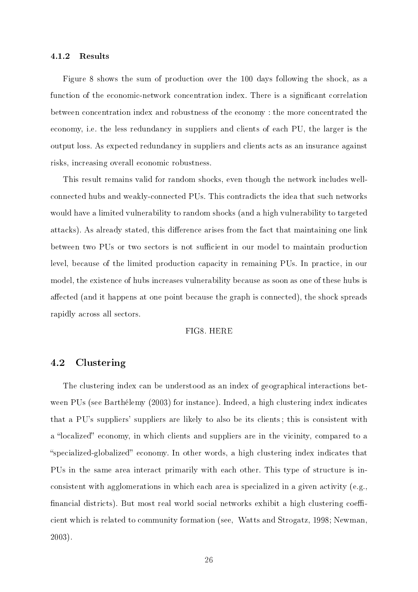#### 4.1.2 Results

Figure 8 shows the sum of production over the 100 days following the shock, as a function of the economic-network concentration index. There is a significant correlation between concentration index and robustness of the economy : the more concentrated the economy, i.e. the less redundancy in suppliers and clients of each PU, the larger is the output loss. As expected redundancy in suppliers and clients acts as an insurance against risks, increasing overall economic robustness.

This result remains valid for random shocks, even though the network includes wellconnected hubs and weakly-connected PUs. This contradicts the idea that such networks would have a limited vulnerability to random shocks (and a high vulnerability to targeted attacks). As already stated, this difference arises from the fact that maintaining one link between two PUs or two sectors is not sufficient in our model to maintain production level, because of the limited production capacity in remaining PUs. In practice, in our model, the existence of hubs increases vulnerability because as soon as one of these hubs is affected (and it happens at one point because the graph is connected), the shock spreads rapidly across all sectors.

#### FIG8. HERE

### 4.2 Clustering

The clustering index can be understood as an index of geographical interactions between PUs (see Barthélemy (2003) for instance). Indeed, a high clustering index indicates that a PU's suppliers' suppliers are likely to also be its clients ; this is consistent with a "localized" economy, in which clients and suppliers are in the vicinity, compared to a "specialized-globalized" economy. In other words, a high clustering index indicates that PUs in the same area interact primarily with each other. This type of structure is inconsistent with agglomerations in which each area is specialized in a given activity (e.g., financial districts). But most real world social networks exhibit a high clustering coefficient which is related to community formation (see, Watts and Strogatz, 1998; Newman, 2003).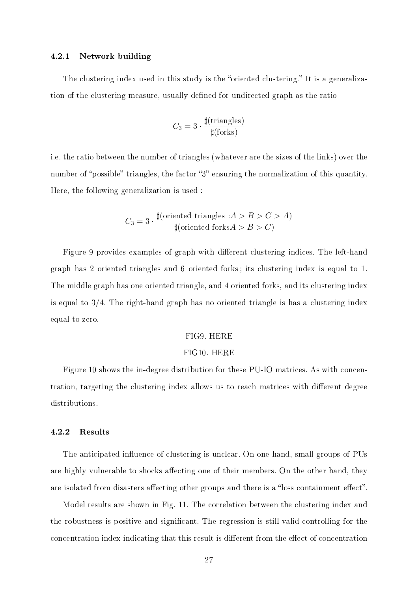#### 4.2.1 Network building

The clustering index used in this study is the "oriented clustering." It is a generalization of the clustering measure, usually defined for undirected graph as the ratio

$$
C_3 = 3 \cdot \frac{\sharp(\text{triangles})}{\sharp(\text{forks})}
$$

i.e. the ratio between the number of triangles (whatever are the sizes of the links) over the number of "possible" triangles, the factor "3" ensuring the normalization of this quantity. Here, the following generalization is used :

$$
C_3 = 3 \cdot \frac{\text{#(oriented triangles} : A > B > C > A)}{\text{#(oriented forks} A > B > C)}
$$

Figure 9 provides examples of graph with different clustering indices. The left-hand graph has 2 oriented triangles and 6 oriented forks ; its clustering index is equal to 1. The middle graph has one oriented triangle, and 4 oriented forks, and its clustering index is equal to 3/4. The right-hand graph has no oriented triangle is has a clustering index equal to zero.

# FIG9. HERE

#### FIG10. HERE

Figure 10 shows the in-degree distribution for these PU-IO matrices. As with concentration, targeting the clustering index allows us to reach matrices with different degree distributions.

#### 4.2.2 Results

The anticipated influence of clustering is unclear. On one hand, small groups of PUs are highly vulnerable to shocks affecting one of their members. On the other hand, they are isolated from disasters affecting other groups and there is a "loss containment effect".

Model results are shown in Fig. 11. The correlation between the clustering index and the robustness is positive and signicant. The regression is still valid controlling for the concentration index indicating that this result is different from the effect of concentration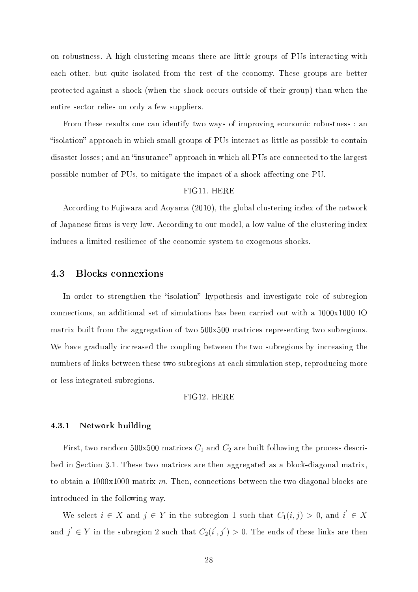on robustness. A high clustering means there are little groups of PUs interacting with each other, but quite isolated from the rest of the economy. These groups are better protected against a shock (when the shock occurs outside of their group) than when the entire sector relies on only a few suppliers.

From these results one can identify two ways of improving economic robustness : an "isolation" approach in which small groups of PUs interact as little as possible to contain disaster losses; and an "insurance" approach in which all PUs are connected to the largest possible number of PUs, to mitigate the impact of a shock affecting one PU.

#### FIG11. HERE

According to Fujiwara and Aoyama (2010), the global clustering index of the network of Japanese firms is very low. According to our model, a low value of the clustering index induces a limited resilience of the economic system to exogenous shocks.

# 4.3 Blocks connexions

In order to strengthen the "isolation" hypothesis and investigate role of subregion connections, an additional set of simulations has been carried out with a 1000x1000 IO matrix built from the aggregation of two 500x500 matrices representing two subregions. We have gradually increased the coupling between the two subregions by increasing the numbers of links between these two subregions at each simulation step, reproducing more or less integrated subregions.

### FIG12. HERE

#### 4.3.1 Network building

First, two random 500x500 matrices  $C_1$  and  $C_2$  are built following the process described in Section 3.1. These two matrices are then aggregated as a block-diagonal matrix, to obtain a  $1000x1000$  matrix m. Then, connections between the two diagonal blocks are introduced in the following way.

We select  $i \in X$  and  $j \in Y$  in the subregion 1 such that  $C_1(i,j) > 0$ , and  $i' \in X$ and  $j' \in Y$  in the subregion 2 such that  $C_2(i',j') > 0$ . The ends of these links are then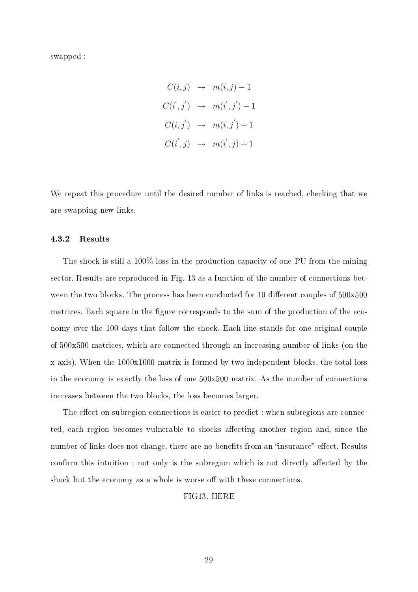swapped :

$$
C(i,j) \rightarrow m(i,j)-1
$$
  
\n
$$
C(i',j') \rightarrow m(i',j')-1
$$
  
\n
$$
C(i,j') \rightarrow m(i,j')+1
$$
  
\n
$$
C(i',j) \rightarrow m(i',j)+1
$$

We repeat this procedure until the desired number of links is reached, checking that we are swapping new links.

#### 4.3.2 Results

The shock is still a 100% loss in the production capacity of one PU from the mining sector. Results are reproduced in Fig. 13 as a function of the number of connections between the two blocks. The process has been conducted for 10 different couples of  $500x500$ matrices. Each square in the figure corresponds to the sum of the production of the economy over the 100 days that follow the shock. Each line stands for one original couple of 500x500 matrices, which are connected through an increasing number of links (on the x axis). When the 1000x1000 matrix is formed by two independent blocks, the total loss in the economy is exactly the loss of one 500x500 matrix. As the number of connections increases between the two blocks, the loss becomes larger.

The effect on subregion connections is easier to predict : when subregions are connected, each region becomes vulnerable to shocks affecting another region and, since the number of links does not change, there are no benefits from an "insurance" effect. Results confirm this intuition : not only is the subregion which is not directly affected by the shock but the economy as a whole is worse off with these connections.

### FIG13. HERE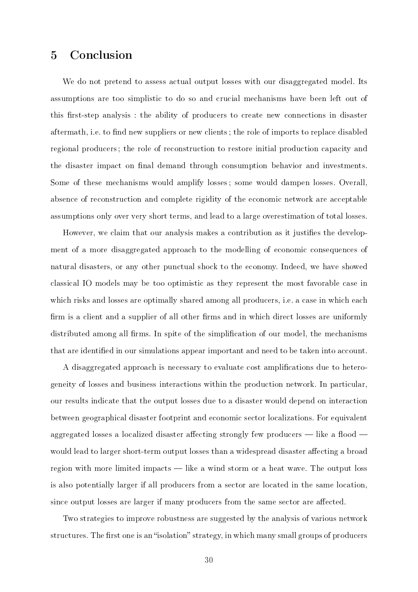# 5 Conclusion

We do not pretend to assess actual output losses with our disaggregated model. Its assumptions are too simplistic to do so and crucial mechanisms have been left out of this first-step analysis : the ability of producers to create new connections in disaster aftermath, i.e. to find new suppliers or new clients; the role of imports to replace disabled regional producers ; the role of reconstruction to restore initial production capacity and the disaster impact on final demand through consumption behavior and investments. Some of these mechanisms would amplify losses ; some would dampen losses. Overall, absence of reconstruction and complete rigidity of the economic network are acceptable assumptions only over very short terms, and lead to a large overestimation of total losses.

However, we claim that our analysis makes a contribution as it justifies the development of a more disaggregated approach to the modelling of economic consequences of natural disasters, or any other punctual shock to the economy. Indeed, we have showed classical IO models may be too optimistic as they represent the most favorable case in which risks and losses are optimally shared among all producers, i.e. a case in which each firm is a client and a supplier of all other firms and in which direct losses are uniformly distributed among all firms. In spite of the simplification of our model, the mechanisms that are identified in our simulations appear important and need to be taken into account.

A disaggregated approach is necessary to evaluate cost amplications due to heterogeneity of losses and business interactions within the production network. In particular, our results indicate that the output losses due to a disaster would depend on interaction between geographical disaster footprint and economic sector localizations. For equivalent aggregated losses a localized disaster affecting strongly few producers  $-$  like a flood  $$ would lead to larger short-term output losses than a widespread disaster affecting a broad region with more limited impacts  $\frac{d}{dx}$  like a wind storm or a heat wave. The output loss is also potentially larger if all producers from a sector are located in the same location, since output losses are larger if many producers from the same sector are affected.

Two strategies to improve robustness are suggested by the analysis of various network structures. The first one is an "isolation" strategy, in which many small groups of producers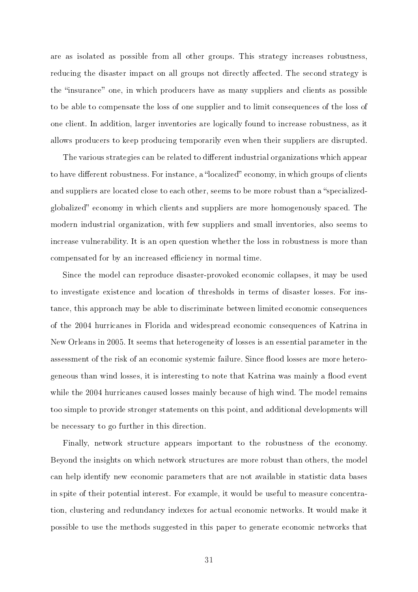are as isolated as possible from all other groups. This strategy increases robustness, reducing the disaster impact on all groups not directly affected. The second strategy is the "insurance" one, in which producers have as many suppliers and clients as possible to be able to compensate the loss of one supplier and to limit consequences of the loss of one client. In addition, larger inventories are logically found to increase robustness, as it allows producers to keep producing temporarily even when their suppliers are disrupted.

The various strategies can be related to different industrial organizations which appear to have different robustness. For instance, a "localized" economy, in which groups of clients and suppliers are located close to each other, seems to be more robust than a "specializedglobalized" economy in which clients and suppliers are more homogenously spaced. The modern industrial organization, with few suppliers and small inventories, also seems to increase vulnerability. It is an open question whether the loss in robustness is more than compensated for by an increased efficiency in normal time.

Since the model can reproduce disaster-provoked economic collapses, it may be used to investigate existence and location of thresholds in terms of disaster losses. For instance, this approach may be able to discriminate between limited economic consequences of the 2004 hurricanes in Florida and widespread economic consequences of Katrina in New Orleans in 2005. It seems that heterogeneity of losses is an essential parameter in the assessment of the risk of an economic systemic failure. Since flood losses are more heterogeneous than wind losses, it is interesting to note that Katrina was mainly a flood event while the 2004 hurricanes caused losses mainly because of high wind. The model remains too simple to provide stronger statements on this point, and additional developments will be necessary to go further in this direction.

Finally, network structure appears important to the robustness of the economy. Beyond the insights on which network structures are more robust than others, the model can help identify new economic parameters that are not available in statistic data bases in spite of their potential interest. For example, it would be useful to measure concentration, clustering and redundancy indexes for actual economic networks. It would make it possible to use the methods suggested in this paper to generate economic networks that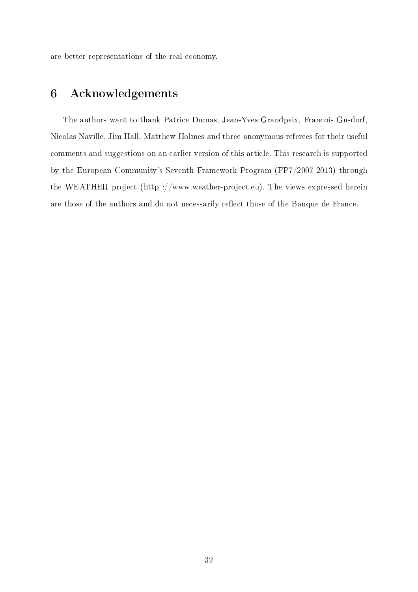are better representations of the real economy.

# 6 Acknowledgements

The authors want to thank Patrice Dumas, Jean-Yves Grandpeix, Francois Gusdorf, Nicolas Naville, Jim Hall, Matthew Holmes and three anonymous referees for their useful comments and suggestions on an earlier version of this article. This research is supported by the European Community's Seventh Framework Program (FP7/2007-2013) through the WEATHER project (http ://www.weather-project.eu). The views expressed herein are those of the authors and do not necessarily reflect those of the Banque de France.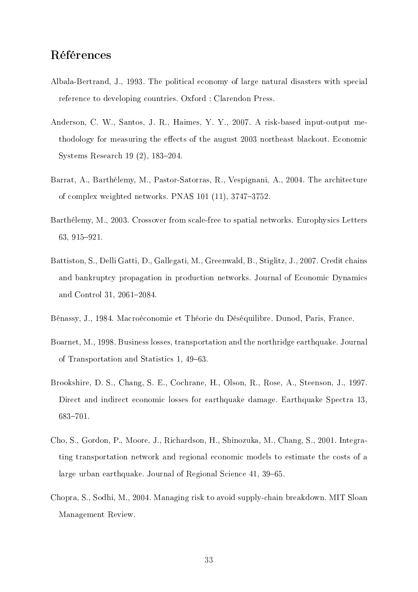# Références

- Albala-Bertrand, J., 1993. The political economy of large natural disasters with special reference to developing countries. Oxford : Clarendon Press.
- Anderson, C. W., Santos, J. R., Haimes, Y. Y., 2007. A risk-based input-output methodology for measuring the effects of the august 2003 northeast blackout. Economic Systems Research 19  $(2)$ , 183–204.
- Barrat, A., Barthélemy, M., Pastor-Satorras, R., Vespignani, A., 2004. The architecture of complex weighted networks. PNAS  $101$   $(11)$ ,  $3747-3752$ .
- Barthélemy, M., 2003. Crossover from scale-free to spatial networks. Europhysics Letters 63, 915-921.
- Battiston, S., Delli Gatti, D., Gallegati, M., Greenwald, B., Stiglitz, J., 2007. Credit chains and bankruptcy propagation in production networks. Journal of Economic Dynamics and Control 31, 2061-2084.
- Bénassy, J., 1984. Macroéconomie et Théorie du Déséquilibre. Dunod, Paris, France.
- Boarnet, M., 1998. Business losses, transportation and the northridge earthquake. Journal of Transportation and Statistics 1, 49–63.
- Brookshire, D. S., Chang, S. E., Cochrane, H., Olson, R., Rose, A., Steenson, J., 1997. Direct and indirect economic losses for earthquake damage. Earthquake Spectra 13, 683-701.
- Cho, S., Gordon, P., Moore, J., Richardson, H., Shinozuka, M., Chang, S., 2001. Integrating transportation network and regional economic models to estimate the costs of a large urban earthquake. Journal of Regional Science 41, 39–65.
- Chopra, S., Sodhi, M., 2004. Managing risk to avoid supply-chain breakdown. MIT Sloan Management Review.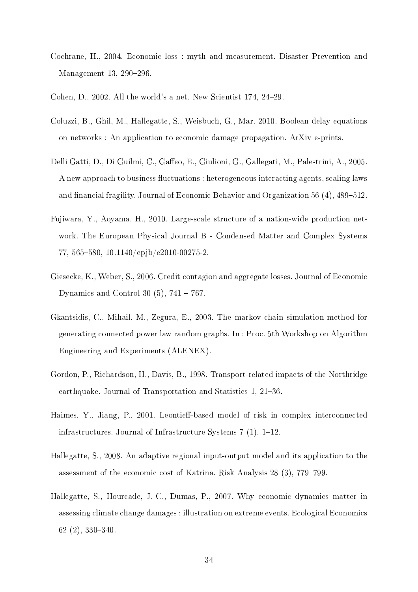- Cochrane, H., 2004. Economic loss : myth and measurement. Disaster Prevention and Management 13, 290-296.
- Cohen, D., 2002. All the world's a net. New Scientist  $174, 24-29$ .
- Coluzzi, B., Ghil, M., Hallegatte, S., Weisbuch, G., Mar. 2010. Boolean delay equations on networks : An application to economic damage propagation. ArXiv e-prints.
- Delli Gatti, D., Di Guilmi, C., Gaffeo, E., Giulioni, G., Gallegati, M., Palestrini, A., 2005. A new approach to business fluctuations : heterogeneous interacting agents, scaling laws and financial fragility. Journal of Economic Behavior and Organization 56  $(4)$ , 489–512.
- Fujiwara, Y., Aoyama, H., 2010. Large-scale structure of a nation-wide production network. The European Physical Journal B - Condensed Matter and Complex Systems 77, 565–580,  $10.1140$ /epjb/e2010-00275-2.
- Giesecke, K., Weber, S., 2006. Credit contagion and aggregate losses. Journal of Economic Dynamics and Control 30  $(5)$ , 741 – 767.
- Gkantsidis, C., Mihail, M., Zegura, E., 2003. The markov chain simulation method for generating connected power law random graphs. In : Proc. 5th Workshop on Algorithm Engineering and Experiments (ALENEX).
- Gordon, P., Richardson, H., Davis, B., 1998. Transport-related impacts of the Northridge earthquake. Journal of Transportation and Statistics 1, 21–36.
- Haimes, Y., Jiang, P., 2001. Leontieff-based model of risk in complex interconnected infrastructures. Journal of Infrastructure Systems  $7(1)$ , 1–12.
- Hallegatte, S., 2008. An adaptive regional input-output model and its application to the assessment of the economic cost of Katrina. Risk Analysis  $28(3)$ ,  $779-799$ .
- Hallegatte, S., Hourcade, J.-C., Dumas, P., 2007. Why economic dynamics matter in assessing climate change damages : illustration on extreme events. Ecological Economics  $62(2), 330-340.$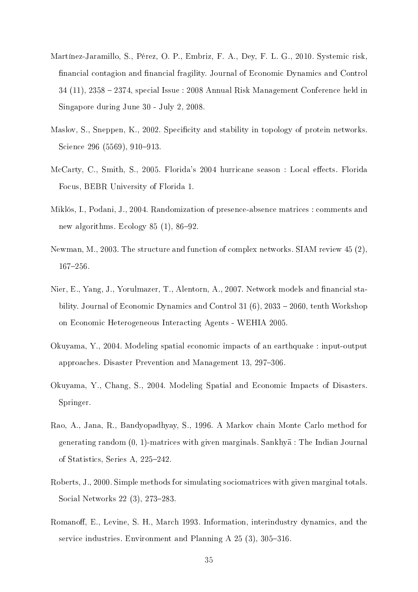- Martínez-Jaramillo, S., Pérez, O. P., Embriz, F. A., Dey, F. L. G., 2010. Systemic risk, financial contagion and financial fragility. Journal of Economic Dynamics and Control  $34$  (11),  $2358 - 2374$ , special Issue : 2008 Annual Risk Management Conference held in Singapore during June 30 - July 2, 2008.
- Maslov, S., Sneppen, K., 2002. Specificity and stability in topology of protein networks. Science 296 (5569), 910-913.
- McCarty, C., Smith, S., 2005. Florida's 2004 hurricane season : Local effects. Florida Focus, BEBR University of Florida 1.
- Miklós, I., Podani, J., 2004. Randomization of presence-absence matrices : comments and new algorithms. Ecology  $85(1)$ ,  $86-92$ .
- Newman, M., 2003. The structure and function of complex networks. SIAM review 45 (2), 167-256.
- Nier, E., Yang, J., Yorulmazer, T., Alentorn, A., 2007. Network models and financial stability. Journal of Economic Dynamics and Control 31 (6), 2033 – 2060, tenth Workshop on Economic Heterogeneous Interacting Agents - WEHIA 2005.
- Okuyama, Y., 2004. Modeling spatial economic impacts of an earthquake : input-output approaches. Disaster Prevention and Management 13, 297–306.
- Okuyama, Y., Chang, S., 2004. Modeling Spatial and Economic Impacts of Disasters. Springer.
- Rao, A., Jana, R., Bandyopadhyay, S., 1996. A Markov chain Monte Carlo method for generating random  $(0, 1)$ -matrices with given marginals. Sankhya : The Indian Journal of Statistics, Series A, 225–242.
- Roberts, J., 2000. Simple methods for simulating sociomatrices with given marginal totals. Social Networks  $22(3)$ ,  $273-283$ .
- Romanoff, E., Levine, S. H., March 1993. Information, interindustry dynamics, and the service industries. Environment and Planning A  $25(3)$ ,  $305-316$ .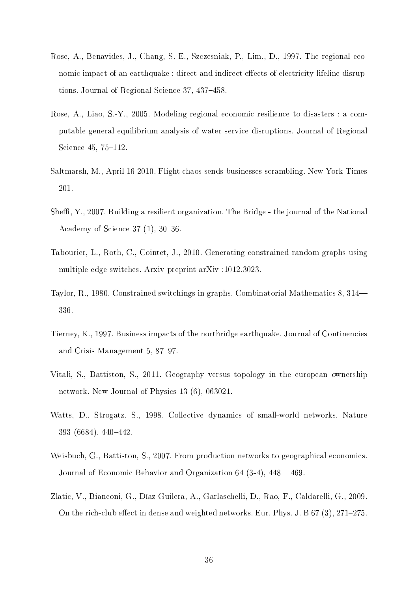- Rose, A., Benavides, J., Chang, S. E., Szczesniak, P., Lim., D., 1997. The regional economic impact of an earthquake : direct and indirect effects of electricity lifeline disruptions. Journal of Regional Science 37, 437-458.
- Rose, A., Liao, S.-Y., 2005. Modeling regional economic resilience to disasters : a computable general equilibrium analysis of water service disruptions. Journal of Regional Science 45, 75-112.
- Saltmarsh, M., April 16 2010. Flight chaos sends businesses scrambling. New York Times 201.
- Sheffi, Y., 2007. Building a resilient organization. The Bridge the journal of the National Academy of Science  $37(1)$ ,  $30-36$ .
- Tabourier, L., Roth, C., Cointet, J., 2010. Generating constrained random graphs using multiple edge switches. Arxiv preprint arXiv :1012.3023.
- Taylor, R., 1980. Constrained switchings in graphs. Combinatorial Mathematics 8, 314 336.
- Tierney, K., 1997. Business impacts of the northridge earthquake. Journal of Continencies and Crisis Management 5, 87–97.
- Vitali, S., Battiston, S., 2011. Geography versus topology in the european ownership network. New Journal of Physics 13 (6), 063021.
- Watts, D., Strogatz, S., 1998. Collective dynamics of small-world networks. Nature 393 (6684), 440-442.
- Weisbuch, G., Battiston, S., 2007. From production networks to geographical economics. Journal of Economic Behavior and Organization 64 (3-4),  $448 - 469$ .
- Zlatic, V., Bianconi, G., Díaz-Guilera, A., Garlaschelli, D., Rao, F., Caldarelli, G., 2009. On the rich-club effect in dense and weighted networks. Eur. Phys. J. B  $67(3)$ ,  $271-275$ .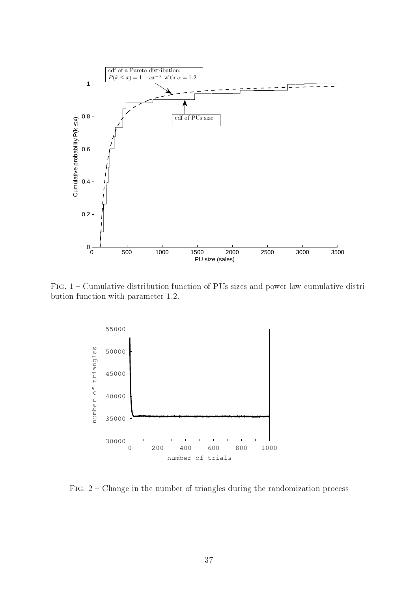

FIG. 1 - Cumulative distribution function of PUs sizes and power law cumulative distribution function with parameter 1.2.



FIG.  $2$  – Change in the number of triangles during the randomization process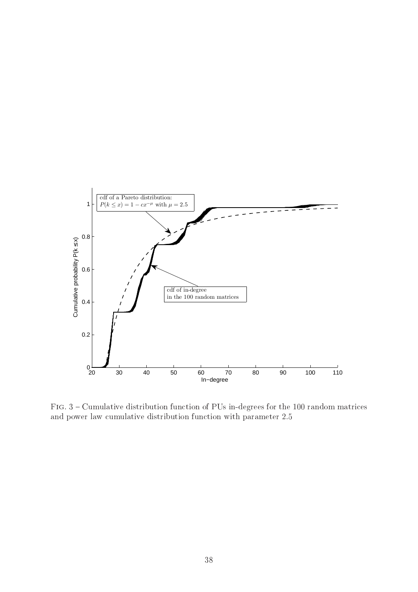

FIG. 3 - Cumulative distribution function of PUs in-degrees for the 100 random matrices and power law cumulative distribution function with parameter 2.5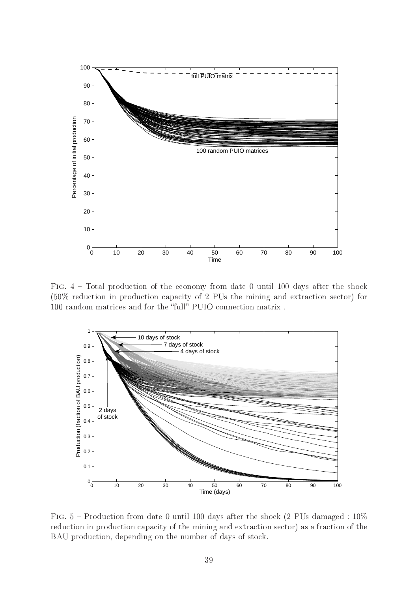

FIG. 4 - Total production of the economy from date 0 until 100 days after the shock (50% reduction in production capacity of 2 PUs the mining and extraction sector) for  $100$  random matrices and for the "full" PUIO connection matrix .



FIG.  $5$  – Production from date 0 until 100 days after the shock (2 PUs damaged : 10%) reduction in production capacity of the mining and extraction sector) as a fraction of the BAU production, depending on the number of days of stock.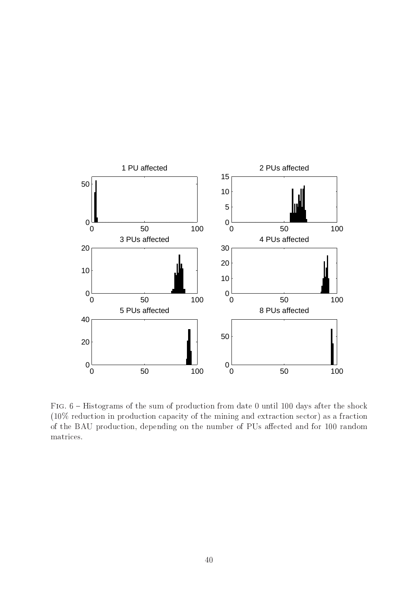

FIG. – Histograms of the sum of production from date 0 until 100 days after the shock (10% reduction in production capacity of the mining and extraction sector) as a fraction of the BAU production, depending on the number of PUs affected and for 100 random matrices.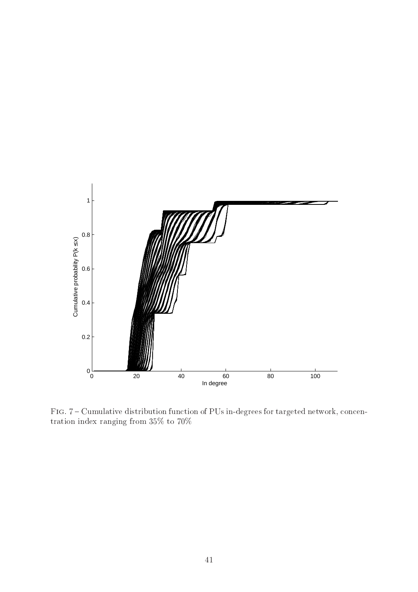

FIG. 7 - Cumulative distribution function of PUs in-degrees for targeted network, concentration index ranging from  $35\%$  to  $70\%$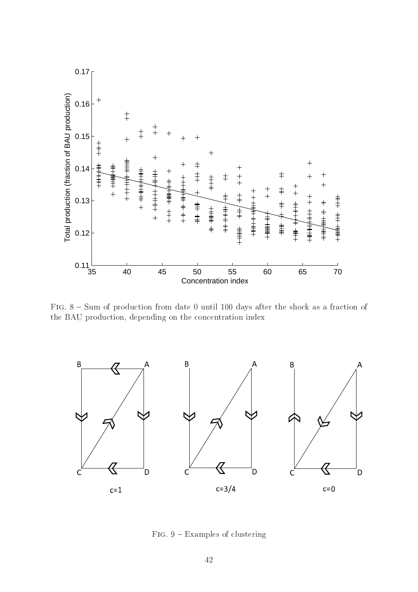

FIG.  $8 - Sum$  of production from date 0 until 100 days after the shock as a fraction of the BAU production, depending on the concentration index



FIG.  $9$  – Examples of clustering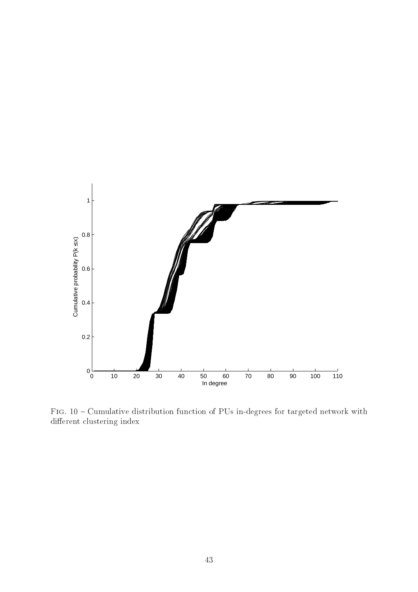

FIG.  $10$  – Cumulative distribution function of PUs in-degrees for targeted network with  $differential$  clustering  $index$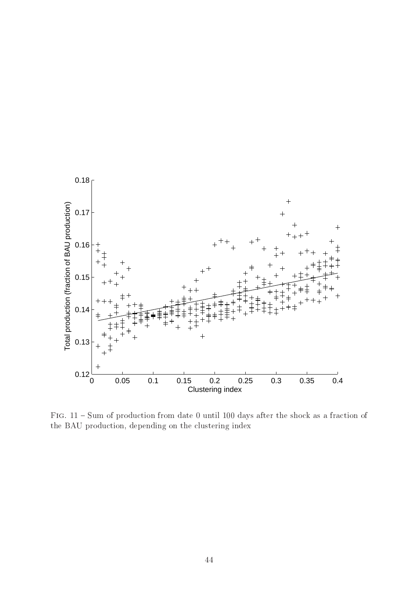

FIG.  $11 - Sum$  of production from date 0 until 100 days after the shock as a fraction of the BAU production, depending on the clustering index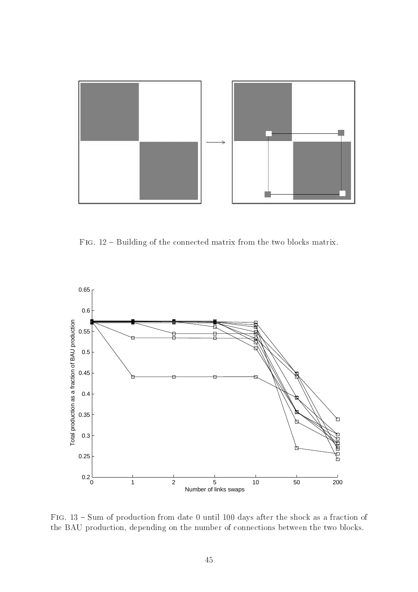

FIG. 12 - Building of the connected matrix from the two blocks matrix.



FIG.  $13$  – Sum of production from date 0 until 100 days after the shock as a fraction of the BAU production, depending on the number of connections between the two blocks.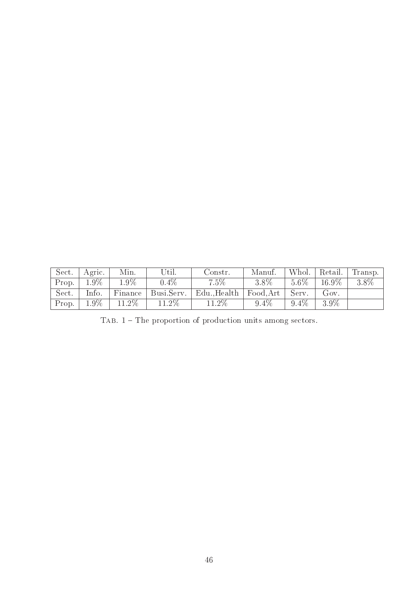| Sect. | Agric.  | Min.     | Util.    | Constr.                                               | Manuf.  |         |               | Whol.   Retail.   Transp. |
|-------|---------|----------|----------|-------------------------------------------------------|---------|---------|---------------|---------------------------|
| Prop. | $1.9\%$ | $1.9\%$  | $0.4\%$  | $7.5\%$                                               | 3.8%    |         | $5.6\%$ 16.9% | $3.8\%$                   |
| Sect. | Info.   |          |          | Finance   Busi.Serv.   Edu.,Health   Food,Art   Serv. |         |         | Gov.          |                           |
| Prop. | $1.9\%$ | $11.2\%$ | $11.2\%$ | 11.2\%                                                | $9.4\%$ | $9.4\%$ | $3.9\%$       |                           |

TAB. 1 – The proportion of production units among sectors.